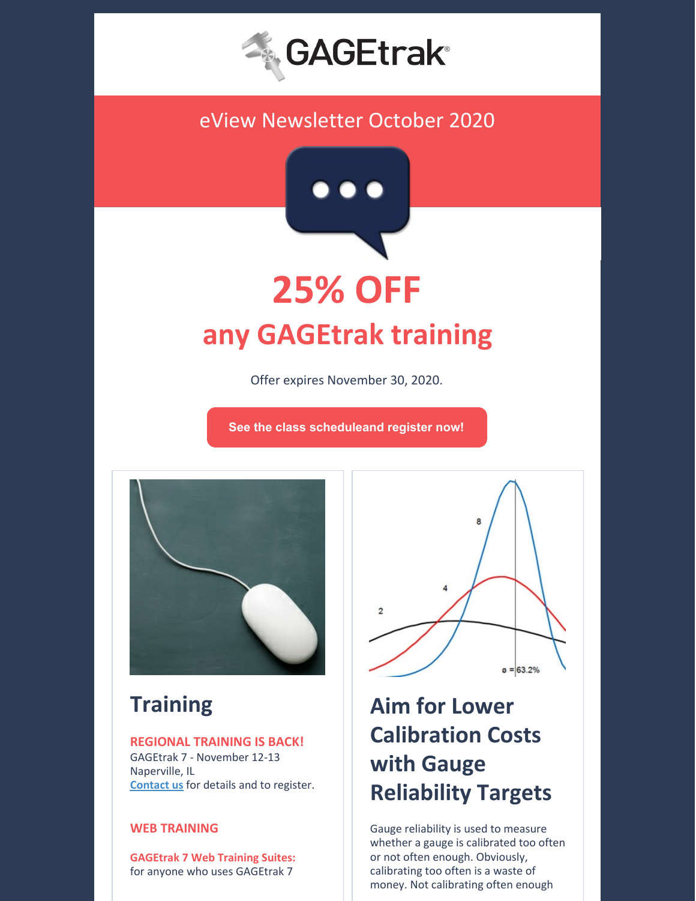

# eView Newsletter October 2020



Offer expires November 30, 2020.

**See the class [scheduleand](https://gagetrak.com/training-schedule/) register now!**



# **Training**

### **REGIONAL TRAINING IS BACK!**

GAGEtrak 7 - November 12-13 Naperville, IL **[Contact](mailto:training@cybermetrics.com) us** for details and to register.

## **WEB TRAINING**

**GAGEtrak 7 Web Training Suites:** for anyone who uses GAGEtrak 7



# **Aim for Lower Calibration Costs with Gauge Reliability Targets**

Gauge reliability is used to measure whether a gauge is calibrated too often or not often enough. Obviously, calibrating too often is a waste of money. Not calibrating often enough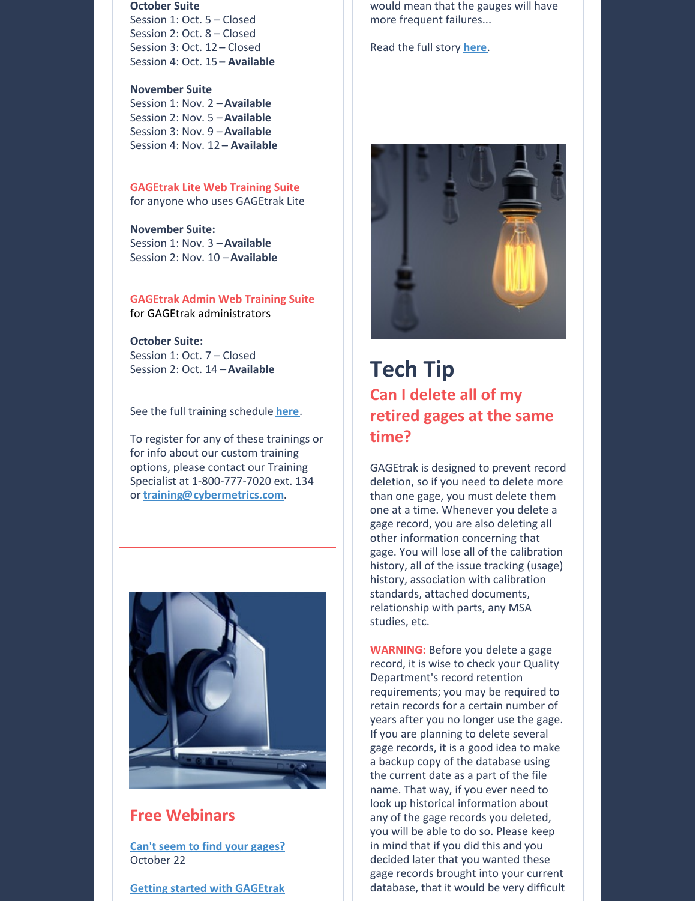#### **October Suite**

Session 1: Oct. 5 – Closed Session 2: Oct. 8 – Closed Session 3: Oct. 12 **–** Closed Session 4: Oct. 15 **– Available**

#### **November Suite**

Session 1: Nov. 2 –**Available** Session 2: Nov. 5 –**Available** Session 3: Nov. 9 –**Available** Session 4: Nov. 12 **– Available**

#### **GAGEtrak Lite Web Training Suite**

for anyone who uses GAGEtrak Lite

### **November Suite:**

Session 1: Nov. 3 –**Available** Session 2: Nov. 10 –**Available**

#### **GAGEtrak Admin Web Training Suite** for GAGEtrak administrators

#### **October Suite:**

Session 1: Oct. 7 – Closed Session 2: Oct. 14 –**Available**

See the full training schedule **[here](https://gagetrak.com/training-schedule/)**.

To register for any of these trainings or for info about our custom training options, please contact our Training Specialist at 1-800-777-7020 ext. 134 or **[training@cybermetrics.com](mailto:training@cybermetrics.com)**.



## **Free Webinars**

**Can't seem to find your [gages?](https://attendee.gotowebinar.com/register/5975466774522411787)** October 22

**Getting started with [GAGEtrak](https://attendee.gotowebinar.com/register/5714030397228328461)**

would mean that the gauges will have more frequent failures...

Read the full story **[here](https://gagetrak.com/aim-for-lower-calibration-costs-with-gauge-reliability-targets/)**.



# **Tech Tip Can I delete all of my retired gages at the same time?**

GAGEtrak is designed to prevent record deletion, so if you need to delete more than one gage, you must delete them one at a time. Whenever you delete a gage record, you are also deleting all other information concerning that gage. You will lose all of the calibration history, all of the issue tracking (usage) history, association with calibration standards, attached documents, relationship with parts, any MSA studies, etc.

**WARNING:** Before you delete a gage record, it is wise to check your Quality Department's record retention requirements; you may be required to retain records for a certain number of years after you no longer use the gage. If you are planning to delete several gage records, it is a good idea to make a backup copy of the database using the current date as a part of the file name. That way, if you ever need to look up historical information about any of the gage records you deleted, you will be able to do so. Please keep in mind that if you did this and you decided later that you wanted these gage records brought into your current database, that it would be very difficult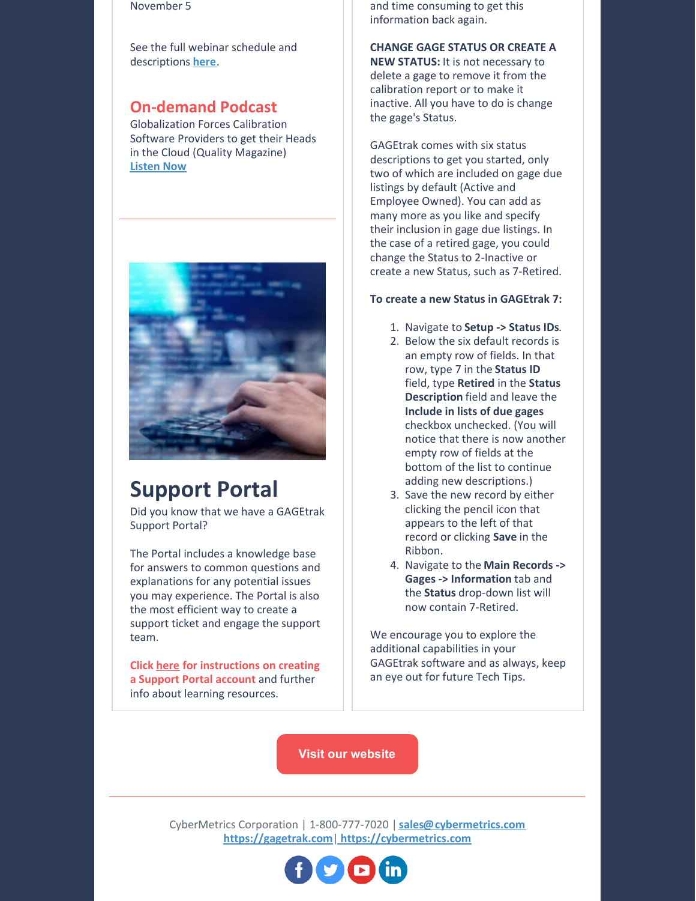#### November 5

See the full webinar schedule and descriptions **[here](https://gagetrak.com/webinars/)**.

# **On-demand Podcast**

Globalization Forces Calibration Software Providers to get their Heads in the Cloud (Quality Magazine) **[Listen](https://www.qualitymag.com/media/podcasts/2594-q-cast/play/170-globalization-forces-calibration-software-providers-to-get-their-heads-in-the-cloud) Now**



# **Support Portal**

Did you know that we have a GAGEtrak Support Portal?

The Portal includes a knowledge base for answers to common questions and explanations for any potential issues you may experience. The Portal is also the most efficient way to create a support ticket and engage the support team.

**Click [here](https://gagetrak.com/wp-content/uploads/GAGEtrak_Learning_Resources_and_Support.pdf) for instructions on creating a Support Portal account** and further info about learning resources.

and time consuming to get this information back again.

### **CHANGE GAGE STATUS OR CREATE A**

**NEW STATUS:** It is not necessary to delete a gage to remove it from the calibration report or to make it inactive. All you have to do is change the gage's Status.

GAGEtrak comes with six status descriptions to get you started, only two of which are included on gage due listings by default (Active and Employee Owned). You can add as many more as you like and specify their inclusion in gage due listings. In the case of a retired gage, you could change the Status to 2-Inactive or create a new Status, such as 7-Retired.

#### **To create a new Status in GAGEtrak 7:**

- 1. Navigate to **Setup -> Status IDs**.
- 2. Below the six default records is an empty row of fields. In that row, type 7 in the **Status ID** field, type **Retired** in the **Status Description** field and leave the **Include in lists of due gages** checkbox unchecked. (You will notice that there is now another empty row of fields at the bottom of the list to continue adding new descriptions.)
- 3. Save the new record by either clicking the pencil icon that appears to the left of that record or clicking **Save** in the Ribbon.
- 4. Navigate to the **Main Records -> Gages -> Information** tab and the **Status** drop-down list will now contain 7-Retired.

We encourage you to explore the additional capabilities in your GAGEtrak software and as always, keep an eye out for future Tech Tips.

**Visit our [website](https://gagetrak.com)**

CyberMetrics Corporation | 1-800-777-7020 | **[sales@cybermetrics.com](mailto:sales@cybermetrics.com) <https://gagetrak.com>**| **<https://cybermetrics.com>**